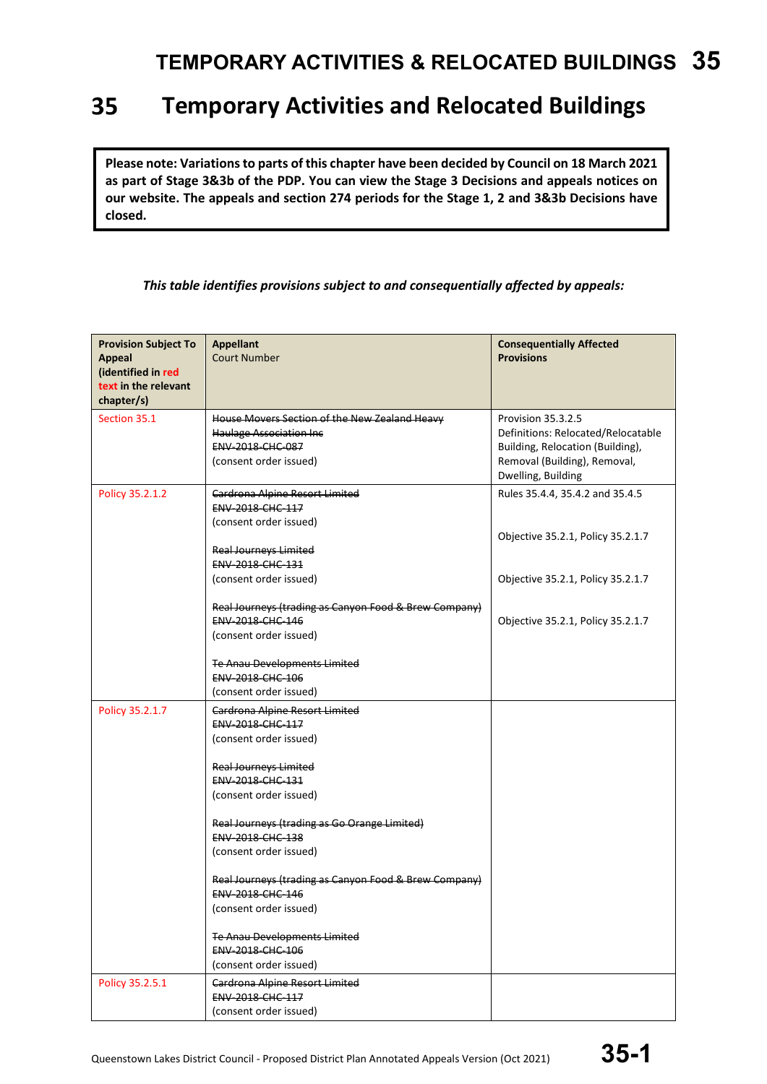#### 35 **Temporary Activities and Relocated Buildings**

**Please note: Variations to parts of this chapter have been decided by Council on 18 March 2021 as part of Stage 3&3b of the PDP. You can view the Stage 3 Decisions and appeals notices on our website. The appeals and section 274 periods for the Stage 1, 2 and 3&3b Decisions have closed.**

#### *This table identifies provisions subject to and consequentially affected by appeals:*

| <b>Provision Subject To</b><br><b>Appeal</b><br>(identified in red<br>text in the relevant | <b>Appellant</b><br><b>Court Number</b>                                                                                        | <b>Consequentially Affected</b><br><b>Provisions</b>                                                                                               |
|--------------------------------------------------------------------------------------------|--------------------------------------------------------------------------------------------------------------------------------|----------------------------------------------------------------------------------------------------------------------------------------------------|
| chapter/s)                                                                                 |                                                                                                                                |                                                                                                                                                    |
| Section 35.1                                                                               | House Movers Section of the New Zealand Heavy<br><b>Haulage Association Inc.</b><br>ENV-2018-CHC-087<br>(consent order issued) | Provision 35.3.2.5<br>Definitions: Relocated/Relocatable<br>Building, Relocation (Building),<br>Removal (Building), Removal,<br>Dwelling, Building |
| Policy 35.2.1.2                                                                            | Cardrona Alpine Resort Limited<br>ENV-2018-CHC-117<br>(consent order issued)                                                   | Rules 35.4.4, 35.4.2 and 35.4.5<br>Objective 35.2.1, Policy 35.2.1.7                                                                               |
|                                                                                            | <b>Real Journeys Limited</b><br><b>ENV 2018 CHC 131</b>                                                                        |                                                                                                                                                    |
|                                                                                            | (consent order issued)                                                                                                         | Objective 35.2.1, Policy 35.2.1.7                                                                                                                  |
|                                                                                            | Real Journeys (trading as Canyon Food & Brew Company)<br><b>ENV 2018 CHC 146</b><br>(consent order issued)                     | Objective 35.2.1, Policy 35.2.1.7                                                                                                                  |
|                                                                                            | <b>Te Anau Developments Limited</b><br>ENV-2018-CHC-106<br>(consent order issued)                                              |                                                                                                                                                    |
| Policy 35.2.1.7                                                                            | <b>Cardrona Alpine Resort Limited</b><br>ENV-2018-CHC-117<br>(consent order issued)<br><b>Real Journeys Limited</b>            |                                                                                                                                                    |
|                                                                                            | ENV-2018-CHC-131<br>(consent order issued)                                                                                     |                                                                                                                                                    |
|                                                                                            | Real Journeys (trading as Go Orange Limited)<br>ENV-2018-CHC-138<br>(consent order issued)                                     |                                                                                                                                                    |
|                                                                                            | Real Journeys (trading as Canyon Food & Brew Company)<br>ENV-2018-CHC-146<br>(consent order issued)                            |                                                                                                                                                    |
|                                                                                            | Te Anau Developments Limited<br><b>ENV 2018 CHC 106</b><br>(consent order issued)                                              |                                                                                                                                                    |
| Policy 35.2.5.1                                                                            | Cardrona Alpine Resort Limited<br>ENV-2018-CHC-117<br>(consent order issued)                                                   |                                                                                                                                                    |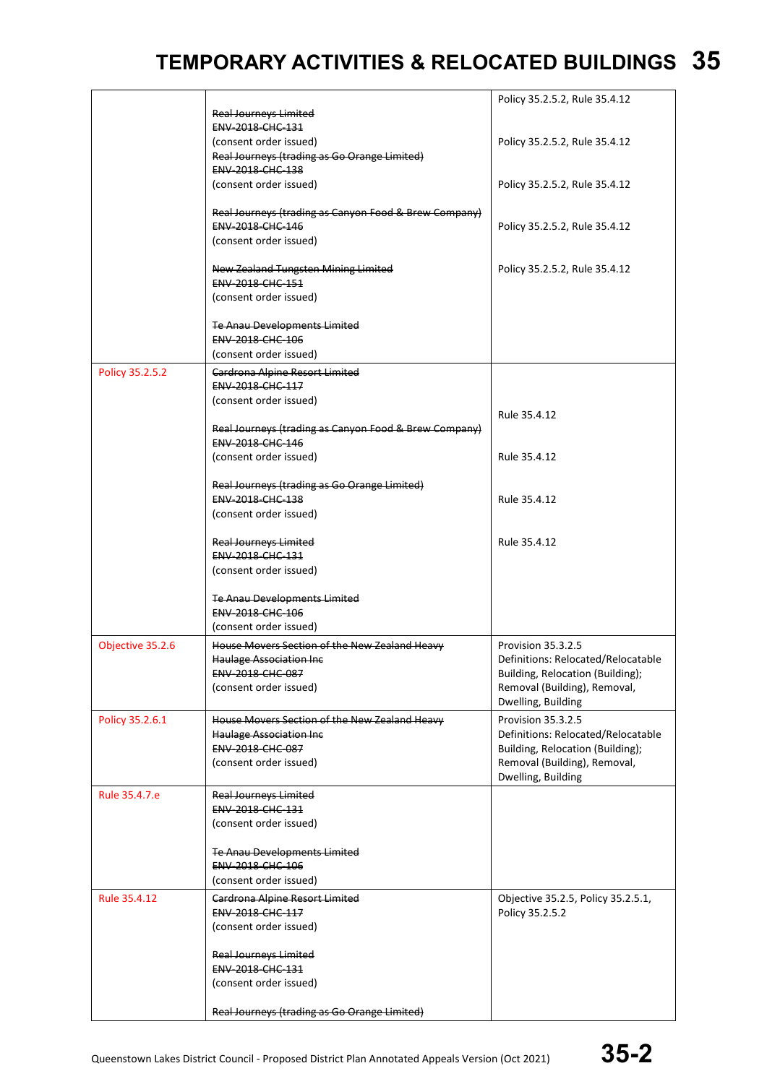|                  |                                                                        | Policy 35.2.5.2, Rule 35.4.12      |
|------------------|------------------------------------------------------------------------|------------------------------------|
|                  | <b>Real Journeys Limited</b><br>ENV-2018-CHC-131                       |                                    |
|                  |                                                                        |                                    |
|                  | (consent order issued)<br>Real Journeys (trading as Go Orange Limited) | Policy 35.2.5.2, Rule 35.4.12      |
|                  | ENV-2018-CHC-138                                                       |                                    |
|                  |                                                                        |                                    |
|                  | (consent order issued)                                                 | Policy 35.2.5.2, Rule 35.4.12      |
|                  |                                                                        |                                    |
|                  | Real Journeys (trading as Canyon Food & Brew Company)                  |                                    |
|                  | <b>ENV 2018 CHC 146</b>                                                | Policy 35.2.5.2, Rule 35.4.12      |
|                  | (consent order issued)                                                 |                                    |
|                  |                                                                        |                                    |
|                  | New Zealand Tungsten Mining Limited                                    | Policy 35.2.5.2, Rule 35.4.12      |
|                  | <b>ENV 2018 CHC 151</b>                                                |                                    |
|                  | (consent order issued)                                                 |                                    |
|                  |                                                                        |                                    |
|                  | <b>Te Anau Developments Limited</b>                                    |                                    |
|                  | ENV-2018-CHC-106                                                       |                                    |
|                  | (consent order issued)                                                 |                                    |
| Policy 35.2.5.2  | <b>Cardrona Alpine Resort Limited</b>                                  |                                    |
|                  | <b>ENV 2018 CHC 117</b>                                                |                                    |
|                  | (consent order issued)                                                 |                                    |
|                  |                                                                        | Rule 35.4.12                       |
|                  | Real Journeys (trading as Canyon Food & Brew Company)                  |                                    |
|                  | ENV-2018-CHC-146                                                       |                                    |
|                  | (consent order issued)                                                 | Rule 35.4.12                       |
|                  |                                                                        |                                    |
|                  | Real Journeys (trading as Go Orange Limited)                           |                                    |
|                  | ENV-2018-CHC-138                                                       | Rule 35.4.12                       |
|                  | (consent order issued)                                                 |                                    |
|                  |                                                                        |                                    |
|                  | <b>Real Journeys Limited</b>                                           | Rule 35.4.12                       |
|                  | ENV-2018-CHC-131                                                       |                                    |
|                  | (consent order issued)                                                 |                                    |
|                  |                                                                        |                                    |
|                  | Te Anau Developments Limited                                           |                                    |
|                  | ENV-2018-CHC-106                                                       |                                    |
|                  | (consent order issued)                                                 |                                    |
| Objective 35.2.6 | House Movers Section of the New Zealand Heavy                          | Provision 35.3.2.5                 |
|                  | <b>Haulage Association Inc.</b>                                        | Definitions: Relocated/Relocatable |
|                  | <b>ENV 2018 CHC 087</b>                                                | Building, Relocation (Building);   |
|                  | (consent order issued)                                                 | Removal (Building), Removal,       |
|                  |                                                                        |                                    |
|                  |                                                                        | Dwelling, Building                 |
| Policy 35.2.6.1  | House Movers Section of the New Zealand Heavy                          | Provision 35.3.2.5                 |
|                  | <b>Haulage Association Inc.</b>                                        | Definitions: Relocated/Relocatable |
|                  | ENV-2018-CHC-087                                                       | Building, Relocation (Building);   |
|                  | (consent order issued)                                                 | Removal (Building), Removal,       |
|                  |                                                                        | Dwelling, Building                 |
| Rule 35.4.7.e    | <b>Real Journeys Limited</b>                                           |                                    |
|                  | ENV-2018-CHC-131                                                       |                                    |
|                  | (consent order issued)                                                 |                                    |
|                  |                                                                        |                                    |
|                  | Te Anau Developments Limited                                           |                                    |
|                  | ENV-2018-CHC-106                                                       |                                    |
|                  | (consent order issued)                                                 |                                    |
| Rule 35.4.12     |                                                                        |                                    |
|                  | Cardrona Alpine Resort Limited                                         | Objective 35.2.5, Policy 35.2.5.1, |
|                  | <b>ENV 2018 CHC 117</b>                                                | Policy 35.2.5.2                    |
|                  | (consent order issued)                                                 |                                    |
|                  |                                                                        |                                    |
|                  | <b>Real Journeys Limited</b><br>ENV-2018-CHC-131                       |                                    |
|                  |                                                                        |                                    |
|                  | (consent order issued)                                                 |                                    |
|                  |                                                                        |                                    |
|                  | Real Journeys (trading as Go Orange Limited)                           |                                    |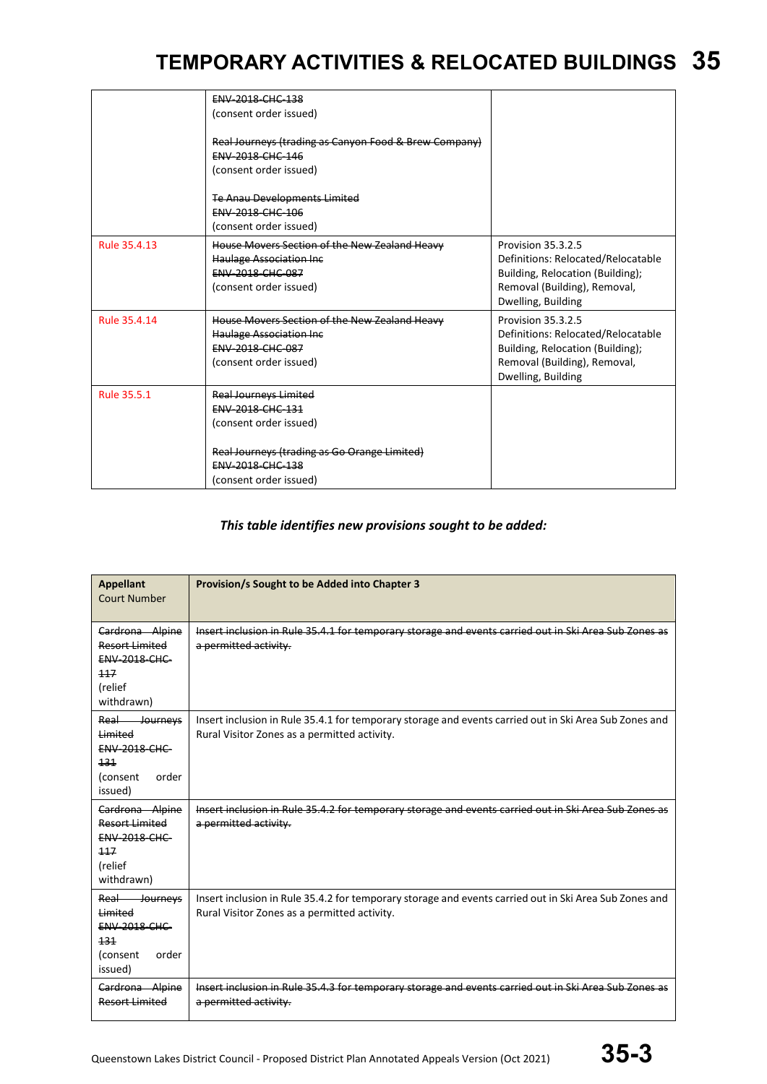|              | ENV-2018-CHC-138<br>(consent order issued)<br>Real Journeys (trading as Canyon Food & Brew Company)<br><b>ENV-2018-CHC-146</b><br>(consent order issued)                               |                                                                                                                                                    |
|--------------|----------------------------------------------------------------------------------------------------------------------------------------------------------------------------------------|----------------------------------------------------------------------------------------------------------------------------------------------------|
|              | <b>Te Anau Developments Limited</b><br>ENV-2018-CHC-106<br>(consent order issued)                                                                                                      |                                                                                                                                                    |
| Rule 35.4.13 | House Movers Section of the New Zealand Heavy<br><b>Haulage Association Inc.</b><br><b>ENV-2018-CHC-087</b><br>(consent order issued)                                                  | Provision 35.3.2.5<br>Definitions: Relocated/Relocatable<br>Building, Relocation (Building);<br>Removal (Building), Removal,<br>Dwelling, Building |
| Rule 35.4.14 | House Movers Section of the New Zealand Heavy<br><b>Haulage Association Inc.</b><br><b>ENV-2018-CHC-087</b><br>(consent order issued)                                                  | Provision 35.3.2.5<br>Definitions: Relocated/Relocatable<br>Building, Relocation (Building);<br>Removal (Building), Removal,<br>Dwelling, Building |
| Rule 35.5.1  | <b>Real Journeys Limited</b><br><b>ENV 2018 CHC 131</b><br>(consent order issued)<br>Real Journeys (trading as Go Orange Limited)<br><b>ENV 2018 CHC 138</b><br>(consent order issued) |                                                                                                                                                    |

#### *This table identifies new provisions sought to be added:*

| <b>Appellant</b><br><b>Court Number</b>                                                           | Provision/s Sought to be Added into Chapter 3                                                                                                          |
|---------------------------------------------------------------------------------------------------|--------------------------------------------------------------------------------------------------------------------------------------------------------|
| Cardrona Alpine<br>Resort Limited<br><b>ENV-2018-CHC-</b><br>117<br>(relief<br>withdrawn)         | Insert inclusion in Rule 35.4.1 for temporary storage and events carried out in Ski Area Sub Zones as<br>a permitted activity.                         |
| Real<br>Journeys<br>Limited<br><b>ENV-2018-CHC-</b><br>131<br>(consent<br>order<br>issued)        | Insert inclusion in Rule 35.4.1 for temporary storage and events carried out in Ski Area Sub Zones and<br>Rural Visitor Zones as a permitted activity. |
| Cardrona Alpine<br><b>Resort Limited</b><br><b>ENV-2018-CHC-</b><br>117<br>(relief<br>withdrawn)  | Insert inclusion in Rule 35.4.2 for temporary storage and events carried out in Ski Area Sub<br>a permitted activity.                                  |
| Real<br>Journeys<br><b>Limited</b><br><b>ENV-2018-CHC-</b><br>131<br>(consent<br>order<br>issued) | Insert inclusion in Rule 35.4.2 for temporary storage and events carried out in Ski Area Sub Zones and<br>Rural Visitor Zones as a permitted activity. |
| Cardrona Alpine<br><b>Resort Limited</b>                                                          | Insert inclusion in Rule 35.4.3 for temporary storage and events carried<br>a permitted activity.                                                      |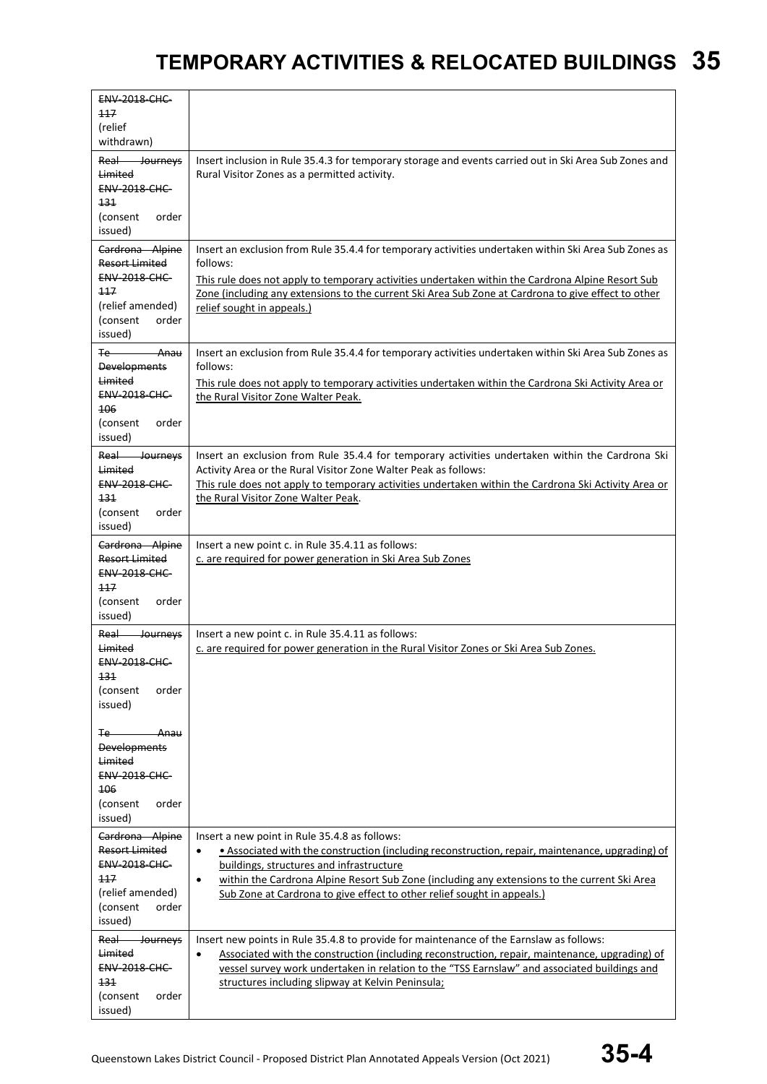| <b>ENV-2018-CHC-</b>                            |                                                                                                                                                                                                          |
|-------------------------------------------------|----------------------------------------------------------------------------------------------------------------------------------------------------------------------------------------------------------|
| 117<br>(relief                                  |                                                                                                                                                                                                          |
| withdrawn)                                      |                                                                                                                                                                                                          |
| Real Journeys                                   | Insert inclusion in Rule 35.4.3 for temporary storage and events carried out in Ski Area Sub Zones and                                                                                                   |
| Limited                                         | Rural Visitor Zones as a permitted activity.                                                                                                                                                             |
| <b>ENV-2018-CHC-</b>                            |                                                                                                                                                                                                          |
| 131<br>(consent<br>order                        |                                                                                                                                                                                                          |
| issued)                                         |                                                                                                                                                                                                          |
| Cardrona Alpine                                 | Insert an exclusion from Rule 35.4.4 for temporary activities undertaken within Ski Area Sub Zones as                                                                                                    |
| <b>Resort Limited</b><br><b>ENV-2018-CHC-</b>   | follows:                                                                                                                                                                                                 |
| 117                                             | This rule does not apply to temporary activities undertaken within the Cardrona Alpine Resort Sub<br>Zone (including any extensions to the current Ski Area Sub Zone at Cardrona to give effect to other |
| (relief amended)                                | relief sought in appeals.)                                                                                                                                                                               |
| (consent<br>order                               |                                                                                                                                                                                                          |
| issued)                                         |                                                                                                                                                                                                          |
| <del>- Anau</del><br>Te-<br><b>Developments</b> | Insert an exclusion from Rule 35.4.4 for temporary activities undertaken within Ski Area Sub Zones as<br>follows:                                                                                        |
| Limited                                         | This rule does not apply to temporary activities undertaken within the Cardrona Ski Activity Area or                                                                                                     |
| <b>ENV-2018-CHC-</b>                            | the Rural Visitor Zone Walter Peak.                                                                                                                                                                      |
| 106                                             |                                                                                                                                                                                                          |
| (consent<br>order<br>issued)                    |                                                                                                                                                                                                          |
| Real<br><b>Sourneys</b>                         | Insert an exclusion from Rule 35.4.4 for temporary activities undertaken within the Cardrona Ski                                                                                                         |
| <b>Limited</b>                                  | Activity Area or the Rural Visitor Zone Walter Peak as follows:                                                                                                                                          |
| <b>ENV-2018-CHC-</b>                            | This rule does not apply to temporary activities undertaken within the Cardrona Ski Activity Area or                                                                                                     |
| 131<br>(consent<br>order                        | the Rural Visitor Zone Walter Peak.                                                                                                                                                                      |
| issued)                                         |                                                                                                                                                                                                          |
| Cardrona Alpine                                 | Insert a new point c. in Rule 35.4.11 as follows:                                                                                                                                                        |
| <b>Resort Limited</b>                           | c. are required for power generation in Ski Area Sub Zones                                                                                                                                               |
| <b>ENV-2018-CHC-</b>                            |                                                                                                                                                                                                          |
| 117<br>(consent<br>order                        |                                                                                                                                                                                                          |
| issued)                                         |                                                                                                                                                                                                          |
| Real-<br><b>Journeys</b>                        | Insert a new point c. in Rule 35.4.11 as follows:                                                                                                                                                        |
| Limited                                         | c. are required for power generation in the Rural Visitor Zones or Ski Area Sub Zones.                                                                                                                   |
| <b>ENV-2018-CHC-</b><br>131                     |                                                                                                                                                                                                          |
| (consent<br>order                               |                                                                                                                                                                                                          |
| issued)                                         |                                                                                                                                                                                                          |
|                                                 |                                                                                                                                                                                                          |
| -Anau<br>Te -<br><b>Developments</b>            |                                                                                                                                                                                                          |
| Limited                                         |                                                                                                                                                                                                          |
| <b>ENV-2018-CHC-</b>                            |                                                                                                                                                                                                          |
| 106<br>(consent<br>order                        |                                                                                                                                                                                                          |
| issued)                                         |                                                                                                                                                                                                          |
| Cardrona Alpine                                 | Insert a new point in Rule 35.4.8 as follows:                                                                                                                                                            |
| <b>Resort Limited</b>                           | • Associated with the construction (including reconstruction, repair, maintenance, upgrading) of<br>$\bullet$                                                                                            |
| <b>ENV-2018-CHC-</b>                            | buildings, structures and infrastructure                                                                                                                                                                 |
| 117<br>(relief amended)                         | within the Cardrona Alpine Resort Sub Zone (including any extensions to the current Ski Area<br>$\bullet$<br>Sub Zone at Cardrona to give effect to other relief sought in appeals.)                     |
| (consent<br>order                               |                                                                                                                                                                                                          |
| issued)                                         |                                                                                                                                                                                                          |
| Real<br><b>Journeys</b>                         | Insert new points in Rule 35.4.8 to provide for maintenance of the Earnslaw as follows:                                                                                                                  |
| Limited<br><b>ENV-2018-CHC-</b>                 | Associated with the construction (including reconstruction, repair, maintenance, upgrading) of<br>$\bullet$                                                                                              |
| 131                                             | vessel survey work undertaken in relation to the "TSS Earnslaw" and associated buildings and<br>structures including slipway at Kelvin Peninsula;                                                        |
| (consent<br>order                               |                                                                                                                                                                                                          |
| issued)                                         |                                                                                                                                                                                                          |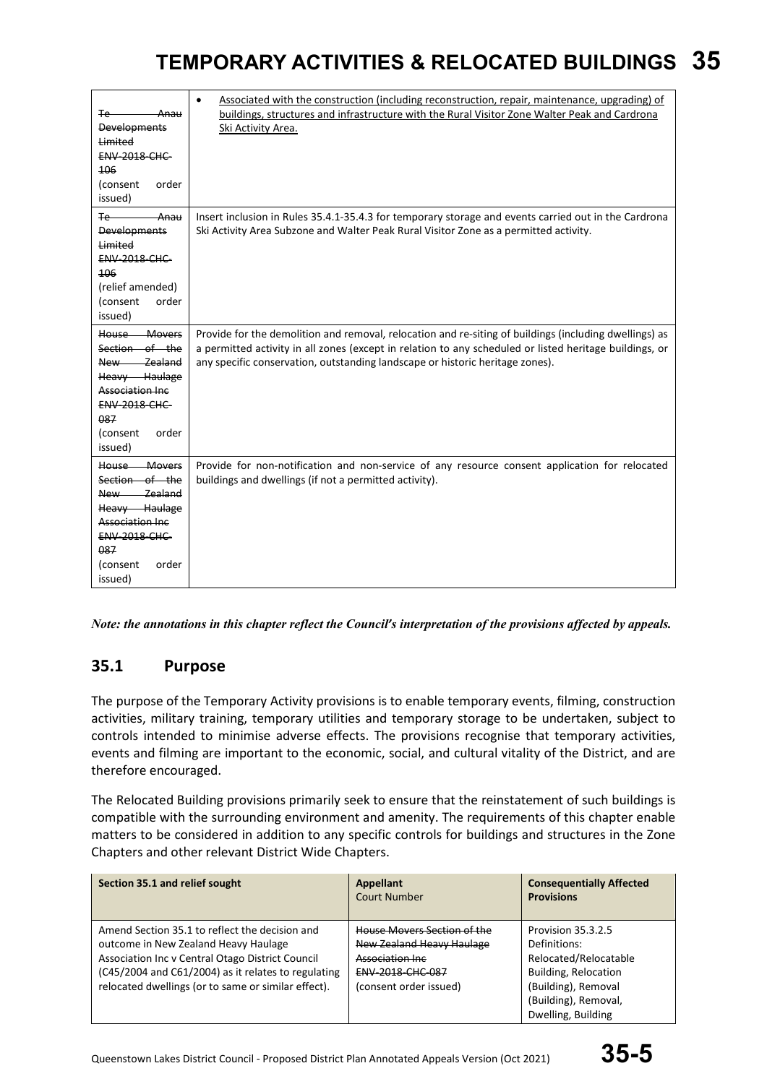| Te-<br>- Anau<br><b>Developments</b><br><b>Limited</b><br><b>ENV-2018-CHC-</b><br>106<br>(consent<br>order<br>issued)                                          | Associated with the construction (including reconstruction, repair, maintenance, upgrading) of<br>$\bullet$<br>buildings, structures and infrastructure with the Rural Visitor Zone Walter Peak and Cardrona<br>Ski Activity Area.                                                                 |
|----------------------------------------------------------------------------------------------------------------------------------------------------------------|----------------------------------------------------------------------------------------------------------------------------------------------------------------------------------------------------------------------------------------------------------------------------------------------------|
| <del>Anau</del><br>∓e—<br><b>Developments</b><br>Limited<br><b>ENV 2018 CHC</b><br>106<br>(relief amended)<br>(consent<br>order<br>issued)                     | Insert inclusion in Rules 35.4.1-35.4.3 for temporary storage and events carried out in the Cardrona<br>Ski Activity Area Subzone and Walter Peak Rural Visitor Zone as a permitted activity.                                                                                                      |
| House Movers<br>Section of the<br>New Zealand<br>Heavy Haulage<br><b>Association Inc.</b><br><b>ENV 2018 CHC</b><br>087<br>(consent<br>order<br>issued)        | Provide for the demolition and removal, relocation and re-siting of buildings (including dwellings) as<br>a permitted activity in all zones (except in relation to any scheduled or listed heritage buildings, or<br>any specific conservation, outstanding landscape or historic heritage zones). |
| House Movers<br>Section of the<br>- Zealand<br>New —<br>Heavy Haulage<br><b>Association Inc</b><br><b>ENV-2018-CHC-</b><br>087<br>(consent<br>order<br>issued) | Provide for non-notification and non-service of any resource consent application for relocated<br>buildings and dwellings (if not a permitted activity).                                                                                                                                           |

*Note: the annotations in this chapter reflect the Council's interpretation of the provisions affected by appeals.*

### **35.1 Purpose**

The purpose of the Temporary Activity provisions is to enable temporary events, filming, construction activities, military training, temporary utilities and temporary storage to be undertaken, subject to controls intended to minimise adverse effects. The provisions recognise that temporary activities, events and filming are important to the economic, social, and cultural vitality of the District, and are therefore encouraged.

The Relocated Building provisions primarily seek to ensure that the reinstatement of such buildings is compatible with the surrounding environment and amenity. The requirements of this chapter enable matters to be considered in addition to any specific controls for buildings and structures in the Zone Chapters and other relevant District Wide Chapters.

| Section 35.1 and relief sought                                                                                                                                                                                                                           | Appellant<br><b>Court Number</b>                                                                                                  | <b>Consequentially Affected</b><br><b>Provisions</b>                                                                                                     |
|----------------------------------------------------------------------------------------------------------------------------------------------------------------------------------------------------------------------------------------------------------|-----------------------------------------------------------------------------------------------------------------------------------|----------------------------------------------------------------------------------------------------------------------------------------------------------|
| Amend Section 35.1 to reflect the decision and<br>outcome in New Zealand Heavy Haulage<br>Association Inc v Central Otago District Council<br>(C45/2004 and C61/2004) as it relates to regulating<br>relocated dwellings (or to same or similar effect). | House Movers Section of the<br>New Zealand Heavy Haulage<br>Association Inc.<br><b>ENV 2018 CHC 087</b><br>(consent order issued) | Provision 35.3.2.5<br>Definitions:<br>Relocated/Relocatable<br>Building, Relocation<br>(Building), Removal<br>(Building), Removal,<br>Dwelling, Building |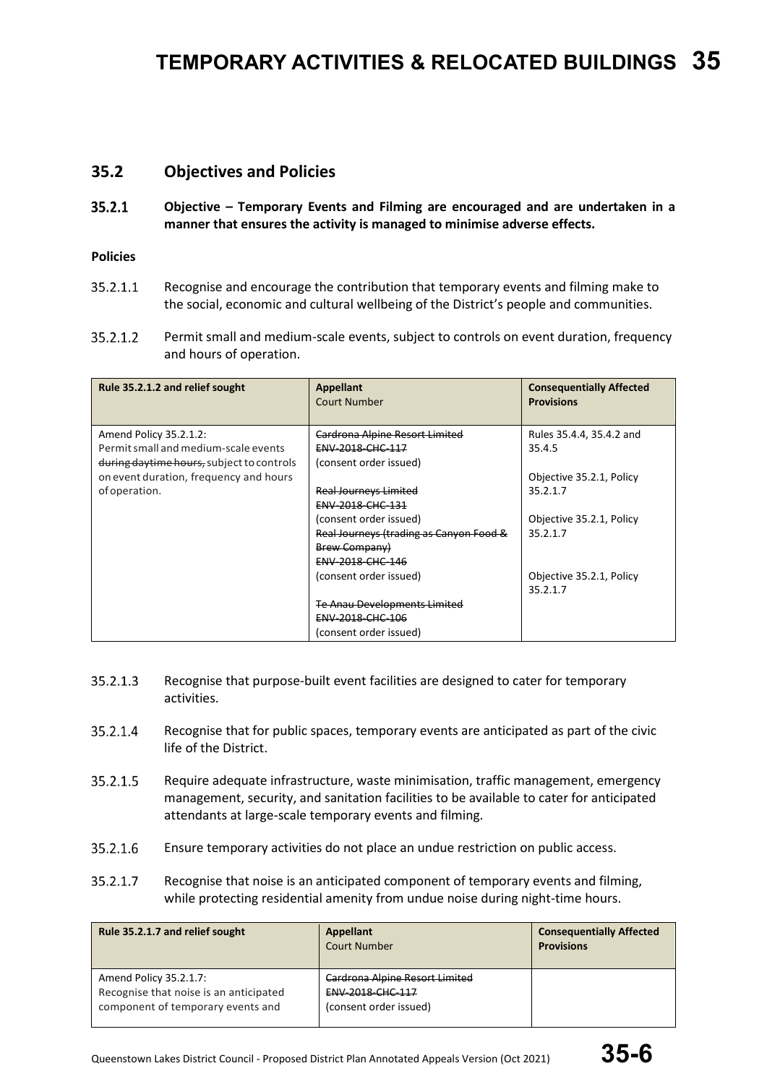### **35.2 Objectives and Policies**

 $35.2.1$ **Objective – Temporary Events and Filming are encouraged and are undertaken in a manner that ensures the activity is managed to minimise adverse effects.** 

#### **Policies**

- 35.2.1.1 Recognise and encourage the contribution that temporary events and filming make to the social, economic and cultural wellbeing of the District's people and communities.
- $35.2.1.2$ Permit small and medium-scale events, subject to controls on event duration, frequency and hours of operation.

| Rule 35.2.1.2 and relief sought           | Appellant<br><b>Court Number</b>        | <b>Consequentially Affected</b><br><b>Provisions</b> |
|-------------------------------------------|-----------------------------------------|------------------------------------------------------|
| Amend Policy 35.2.1.2:                    | Cardrona Alpine Resort Limited          | Rules 35.4.4, 35.4.2 and                             |
| Permit small and medium-scale events      | ENV-2018-CHC-117                        | 35.4.5                                               |
| during daytime hours, subject to controls | (consent order issued)                  |                                                      |
| on event duration, frequency and hours    |                                         | Objective 35.2.1, Policy                             |
| of operation.                             | <b>Real Journeys Limited</b>            | 35.2.1.7                                             |
|                                           | ENV-2018-CHC-131                        |                                                      |
|                                           | (consent order issued)                  | Objective 35.2.1, Policy                             |
|                                           | Real Journeys (trading as Canyon Food & | 35.2.1.7                                             |
|                                           | <b>Brew Company)</b>                    |                                                      |
|                                           | ENV-2018-CHC-146                        |                                                      |
|                                           | (consent order issued)                  | Objective 35.2.1, Policy                             |
|                                           |                                         | 35.2.1.7                                             |
|                                           | <b>Te Anau Developments Limited</b>     |                                                      |
|                                           | <b>ENV 2018 CHC 106</b>                 |                                                      |
|                                           | (consent order issued)                  |                                                      |

- Recognise that purpose-built event facilities are designed to cater for temporary 35.2.1.3 activities.
- 35.2.1.4 Recognise that for public spaces, temporary events are anticipated as part of the civic life of the District.
- 35.2.1.5 Require adequate infrastructure, waste minimisation, traffic management, emergency management, security, and sanitation facilities to be available to cater for anticipated attendants at large-scale temporary events and filming.
- Ensure temporary activities do not place an undue restriction on public access. 35.2.1.6
- 35.2.1.7 Recognise that noise is an anticipated component of temporary events and filming, while protecting residential amenity from undue noise during night-time hours.

| Rule 35.2.1.7 and relief sought                                                                       | Appellant<br><b>Court Number</b>                                             | <b>Consequentially Affected</b><br><b>Provisions</b> |
|-------------------------------------------------------------------------------------------------------|------------------------------------------------------------------------------|------------------------------------------------------|
| Amend Policy 35.2.1.7:<br>Recognise that noise is an anticipated<br>component of temporary events and | Cardrona Alpine Resort Limited<br>ENV-2018-CHC-117<br>(consent order issued) |                                                      |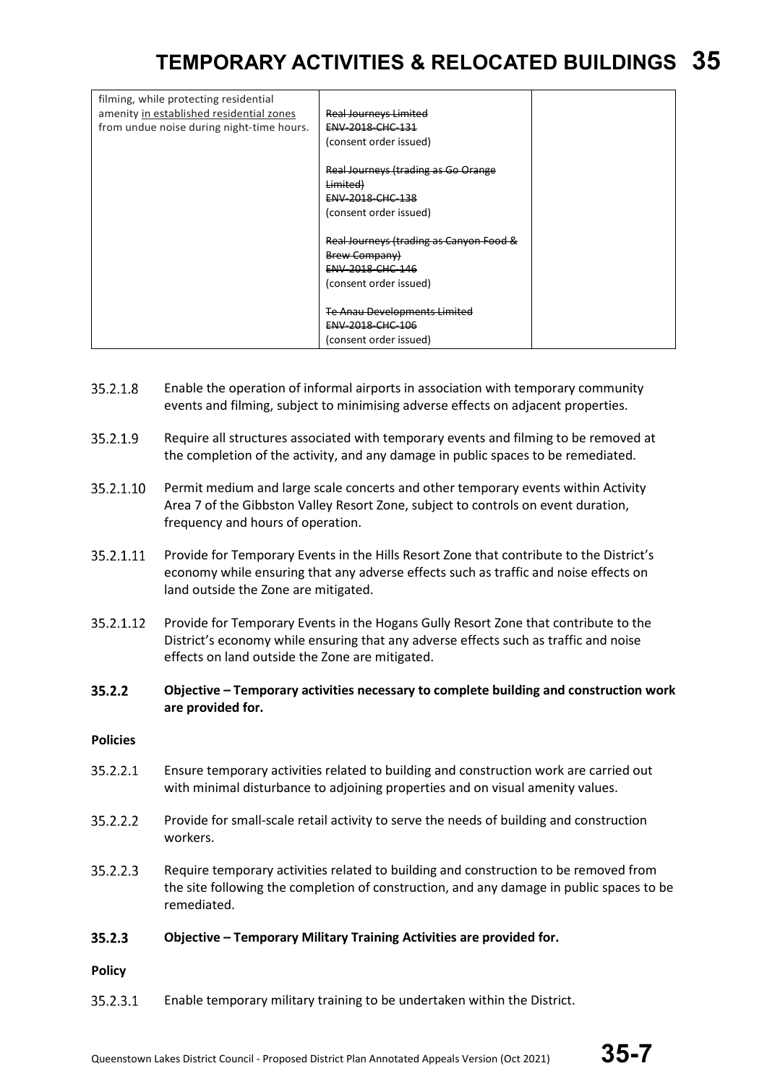| filming, while protecting residential<br>amenity in established residential zones<br>from undue noise during night-time hours. | <b>Real Journeys Limited</b><br>ENV-2018-CHC-131<br>(consent order issued) |  |
|--------------------------------------------------------------------------------------------------------------------------------|----------------------------------------------------------------------------|--|
|                                                                                                                                | Real Journeys (trading as Go Orange                                        |  |
|                                                                                                                                | Limited)                                                                   |  |
|                                                                                                                                | ENV-2018-CHC-138                                                           |  |
|                                                                                                                                | (consent order issued)                                                     |  |
|                                                                                                                                |                                                                            |  |
|                                                                                                                                | Real Journeys (trading as Canyon Food &                                    |  |
|                                                                                                                                | <b>Brew Company)</b>                                                       |  |
|                                                                                                                                | ENV-2018-CHC-146                                                           |  |
|                                                                                                                                | (consent order issued)                                                     |  |
|                                                                                                                                |                                                                            |  |
|                                                                                                                                | <b>Te Anau Developments Limited</b>                                        |  |
|                                                                                                                                | <b>ENV 2018 CHC 106</b>                                                    |  |
|                                                                                                                                | (consent order issued)                                                     |  |

- 35.2.1.8 Enable the operation of informal airports in association with temporary community events and filming, subject to minimising adverse effects on adjacent properties.
- 35.2.1.9 Require all structures associated with temporary events and filming to be removed at the completion of the activity, and any damage in public spaces to be remediated.
- 35.2.1.10 Permit medium and large scale concerts and other temporary events within Activity Area 7 of the Gibbston Valley Resort Zone, subject to controls on event duration, frequency and hours of operation.
- 35.2.1.11 Provide for Temporary Events in the Hills Resort Zone that contribute to the District's economy while ensuring that any adverse effects such as traffic and noise effects on land outside the Zone are mitigated.
- 35.2.1.12 Provide for Temporary Events in the Hogans Gully Resort Zone that contribute to the District's economy while ensuring that any adverse effects such as traffic and noise effects on land outside the Zone are mitigated.
- $35.2.2$ **Objective – Temporary activities necessary to complete building and construction work are provided for.**

#### **Policies**

- 35.2.2.1 Ensure temporary activities related to building and construction work are carried out with minimal disturbance to adjoining properties and on visual amenity values.
- 35.2.2.2 Provide for small-scale retail activity to serve the needs of building and construction workers.
- Require temporary activities related to building and construction to be removed from  $35.2.2.3$ the site following the completion of construction, and any damage in public spaces to be remediated.
- $35.2.3$ **Objective – Temporary Military Training Activities are provided for.**

#### **Policy**

35.2.3.1 Enable temporary military training to be undertaken within the District.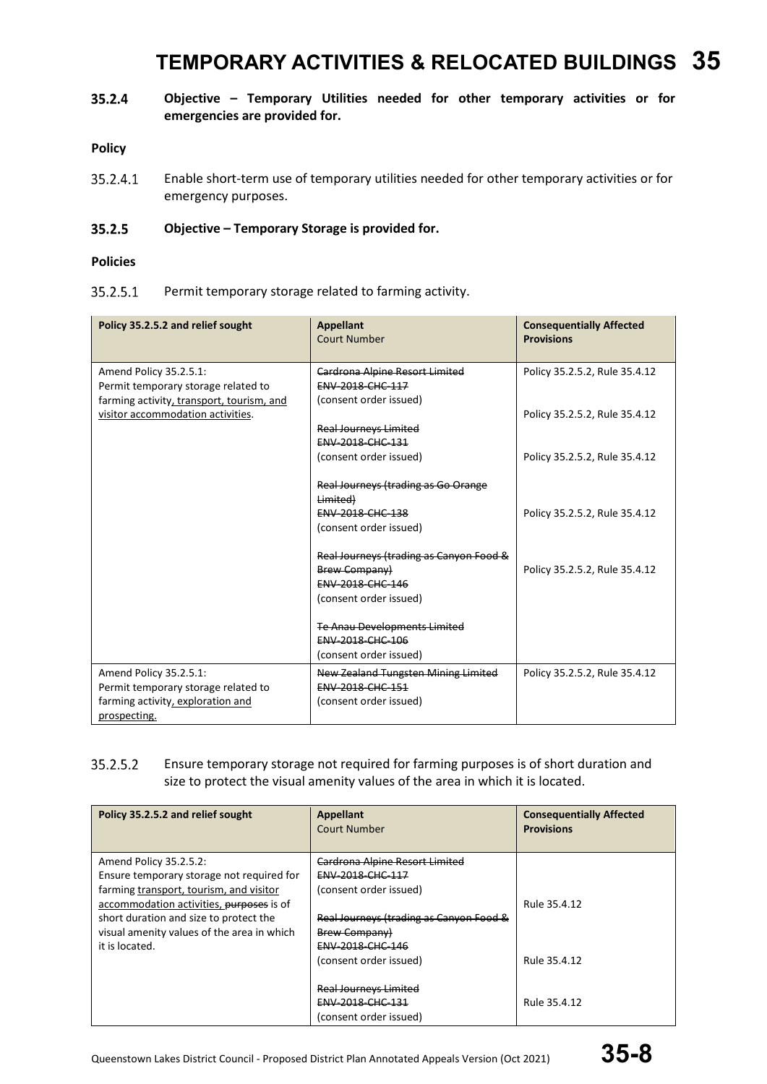#### 35.2.4 **Objective – Temporary Utilities needed for other temporary activities or for emergencies are provided for.**

#### **Policy**

35.2.4.1 Enable short-term use of temporary utilities needed for other temporary activities or for emergency purposes.

#### 35.2.5 **Objective – Temporary Storage is provided for.**

#### **Policies**

#### 35.2.5.1 Permit temporary storage related to farming activity.

| Policy 35.2.5.2 and relief sought                                                                                                               | <b>Appellant</b><br><b>Court Number</b>                                                                                    | <b>Consequentially Affected</b><br><b>Provisions</b>           |
|-------------------------------------------------------------------------------------------------------------------------------------------------|----------------------------------------------------------------------------------------------------------------------------|----------------------------------------------------------------|
| Amend Policy 35.2.5.1:<br>Permit temporary storage related to<br>farming activity, transport, tourism, and<br>visitor accommodation activities. | <b>Cardrona Alpine Resort Limited</b><br><b>ENV 2018 CHC 117</b><br>(consent order issued)<br><b>Real Journeys Limited</b> | Policy 35.2.5.2, Rule 35.4.12<br>Policy 35.2.5.2, Rule 35.4.12 |
|                                                                                                                                                 | <b>ENV-2018-CHC-131</b><br>(consent order issued)                                                                          | Policy 35.2.5.2, Rule 35.4.12                                  |
|                                                                                                                                                 | Real Journeys (trading as Go Orange<br>Limited)<br><b>ENV-2018-CHC-138</b><br>(consent order issued)                       | Policy 35.2.5.2, Rule 35.4.12                                  |
|                                                                                                                                                 | Real Journeys (trading as Canyon Food &<br><b>Brew Company)</b><br><b>ENV-2018-CHC-146</b><br>(consent order issued)       | Policy 35.2.5.2, Rule 35.4.12                                  |
|                                                                                                                                                 | <b>Te Anau Developments Limited</b><br><b>ENV-2018-CHC-106</b><br>(consent order issued)                                   |                                                                |
| Amend Policy 35.2.5.1:<br>Permit temporary storage related to<br>farming activity, exploration and<br>prospecting.                              | New Zealand Tungsten Mining Limited<br><b>ENV 2018 CHC 151</b><br>(consent order issued)                                   | Policy 35.2.5.2, Rule 35.4.12                                  |

#### 35.2.5.2 Ensure temporary storage not required for farming purposes is of short duration and size to protect the visual amenity values of the area in which it is located.

| Policy 35.2.5.2 and relief sought                                                   | Appellant<br>Court Number               | <b>Consequentially Affected</b><br><b>Provisions</b> |
|-------------------------------------------------------------------------------------|-----------------------------------------|------------------------------------------------------|
| Amend Policy 35.2.5.2:                                                              | <b>Cardrona Alpine Resort Limited</b>   |                                                      |
| Ensure temporary storage not required for                                           | ENV-2018-CHC-117                        |                                                      |
| farming transport, tourism, and visitor<br>accommodation activities, purposes is of | (consent order issued)                  | Rule 35.4.12                                         |
| short duration and size to protect the                                              | Real Journeys (trading as Canyon Food & |                                                      |
| visual amenity values of the area in which                                          | <b>Brew Company)</b>                    |                                                      |
| it is located.                                                                      | ENV-2018-CHC-146                        |                                                      |
|                                                                                     | (consent order issued)                  | Rule 35.4.12                                         |
|                                                                                     |                                         |                                                      |
|                                                                                     | <b>Real Journeys Limited</b>            |                                                      |
|                                                                                     | <b>ENV 2018 CHC 131</b>                 | Rule 35.4.12                                         |
|                                                                                     | (consent order issued)                  |                                                      |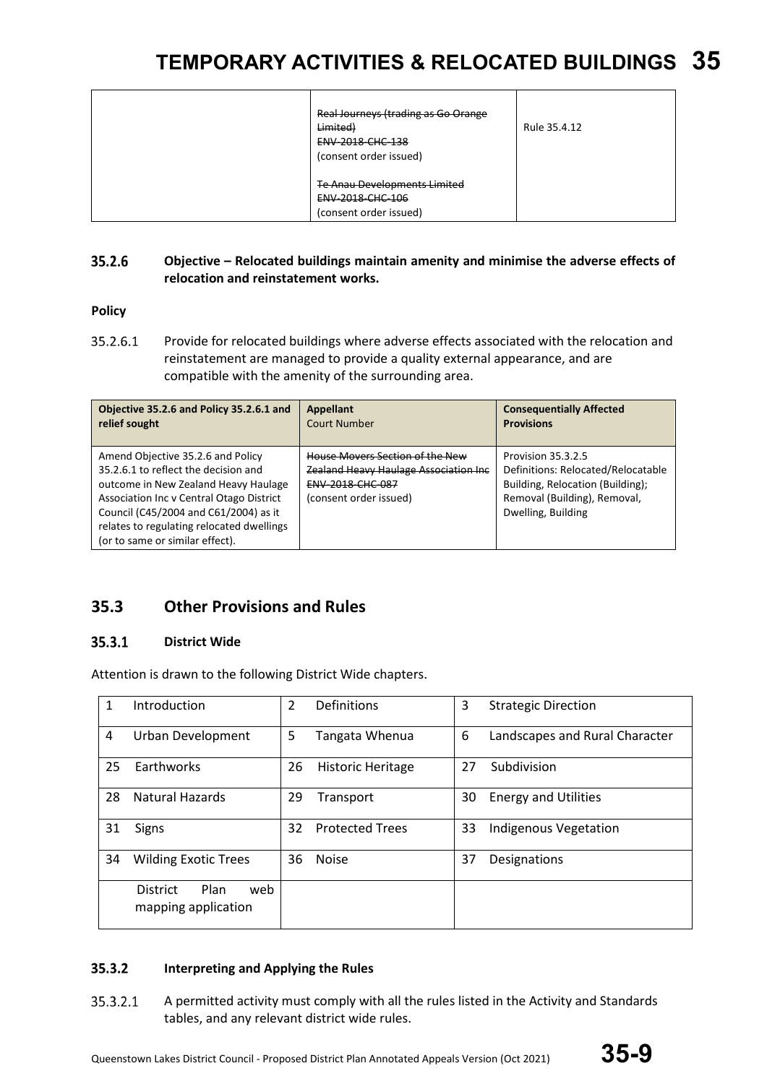| Real Journeys (trading as Go Orange<br>Limited)                                   | Rule 35.4.12 |
|-----------------------------------------------------------------------------------|--------------|
| <b>ENV 2018 CHC 138</b><br>(consent order issued)                                 |              |
| <b>Te Anau Developments Limited</b><br>ENV-2018-CHC-106<br>(consent order issued) |              |

#### 35.2.6 **Objective – Relocated buildings maintain amenity and minimise the adverse effects of relocation and reinstatement works.**

**Policy**

35.2.6.1 Provide for relocated buildings where adverse effects associated with the relocation and reinstatement are managed to provide a quality external appearance, and are compatible with the amenity of the surrounding area.

| Objective 35.2.6 and Policy 35.2.6.1 and                                                                                                                                                                                                                                               | <b>Appellant</b>                                                                                                                      | <b>Consequentially Affected</b>                                                                                                                    |
|----------------------------------------------------------------------------------------------------------------------------------------------------------------------------------------------------------------------------------------------------------------------------------------|---------------------------------------------------------------------------------------------------------------------------------------|----------------------------------------------------------------------------------------------------------------------------------------------------|
| relief sought                                                                                                                                                                                                                                                                          | <b>Court Number</b>                                                                                                                   | <b>Provisions</b>                                                                                                                                  |
| Amend Objective 35.2.6 and Policy<br>35.2.6.1 to reflect the decision and<br>outcome in New Zealand Heavy Haulage<br>Association Inc v Central Otago District<br>Council (C45/2004 and C61/2004) as it<br>relates to regulating relocated dwellings<br>(or to same or similar effect). | House Movers Section of the New<br><b>Zealand Heavy Haulage Association Inc.</b><br><b>ENV-2018-CHC-087</b><br>(consent order issued) | Provision 35.3.2.5<br>Definitions: Relocated/Relocatable<br>Building, Relocation (Building);<br>Removal (Building), Removal,<br>Dwelling, Building |

### **35.3 Other Provisions and Rules**

#### $35.3.1$ **District Wide**

Attention is drawn to the following District Wide chapters.

| 1  | Introduction                                          | 2  | Definitions              | 3  | <b>Strategic Direction</b>     |
|----|-------------------------------------------------------|----|--------------------------|----|--------------------------------|
| 4  | <b>Urban Development</b>                              | 5  | Tangata Whenua           | 6  | Landscapes and Rural Character |
| 25 | Earthworks                                            | 26 | <b>Historic Heritage</b> | 27 | Subdivision                    |
| 28 | <b>Natural Hazards</b>                                | 29 | Transport                | 30 | <b>Energy and Utilities</b>    |
| 31 | Signs                                                 | 32 | <b>Protected Trees</b>   | 33 | <b>Indigenous Vegetation</b>   |
| 34 | <b>Wilding Exotic Trees</b>                           | 36 | <b>Noise</b>             | 37 | Designations                   |
|    | Plan<br><b>District</b><br>web<br>mapping application |    |                          |    |                                |

#### $35.3.2$ **Interpreting and Applying the Rules**

35.3.2.1 A permitted activity must comply with all the rules listed in the Activity and Standards tables, and any relevant district wide rules.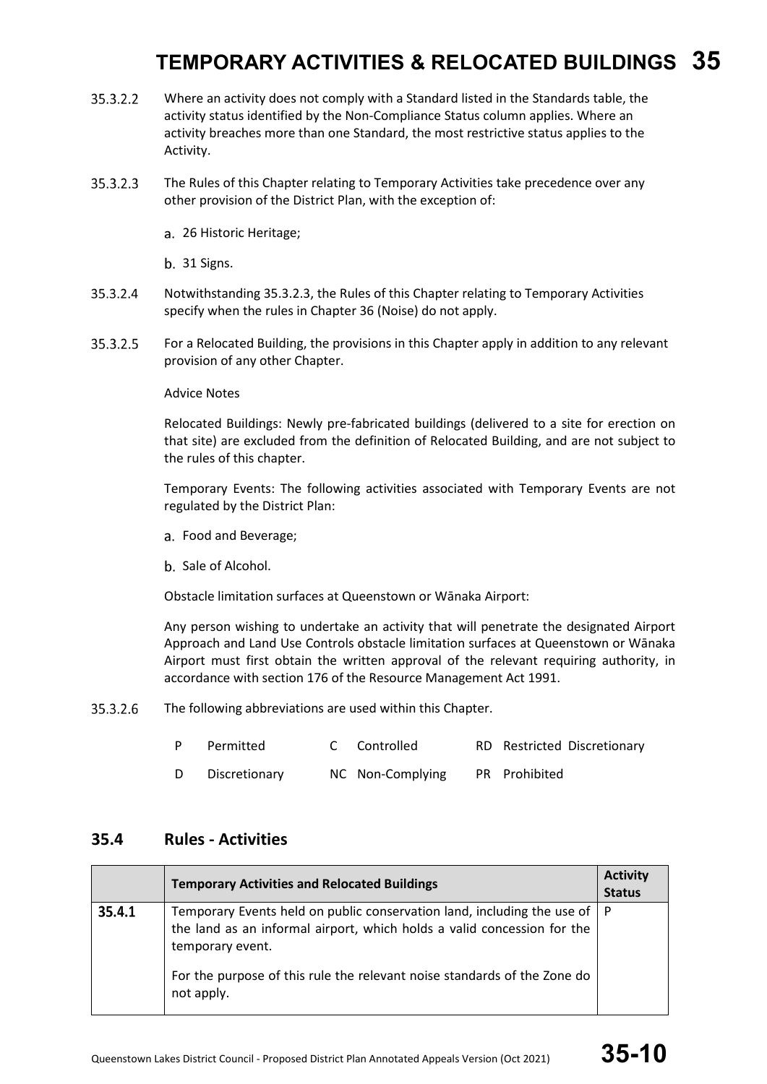- 35.3.2.2 Where an activity does not comply with a Standard listed in the Standards table, the activity status identified by the Non-Compliance Status column applies. Where an activity breaches more than one Standard, the most restrictive status applies to the Activity.
- 35.3.2.3 The Rules of this Chapter relating to Temporary Activities take precedence over any other provision of the District Plan, with the exception of:
	- 26 Historic Heritage;

b. 31 Signs.

- 35.3.2.4 Notwithstanding 35.3.2.3, the Rules of this Chapter relating to Temporary Activities specify when the rules in Chapter 36 (Noise) do not apply.
- 35.3.2.5 For a Relocated Building, the provisions in this Chapter apply in addition to any relevant provision of any other Chapter.

Advice Notes

Relocated Buildings: Newly pre-fabricated buildings (delivered to a site for erection on that site) are excluded from the definition of Relocated Building, and are not subject to the rules of this chapter.

Temporary Events: The following activities associated with Temporary Events are not regulated by the District Plan:

- a. Food and Beverage;
- b. Sale of Alcohol.

Obstacle limitation surfaces at Queenstown or Wānaka Airport:

Any person wishing to undertake an activity that will penetrate the designated Airport Approach and Land Use Controls obstacle limitation surfaces at Queenstown or Wānaka Airport must first obtain the written approval of the relevant requiring authority, in accordance with section 176 of the Resource Management Act 1991.

35.3.2.6 The following abbreviations are used within this Chapter.

|   | Permitted     | C Controlled     | RD Restricted Discretionary |
|---|---------------|------------------|-----------------------------|
| D | Discretionary | NC Non-Complying | PR Prohibited               |

### **35.4 Rules - Activities**

|        | <b>Temporary Activities and Relocated Buildings</b>                                                                                                                        | <b>Activity</b><br><b>Status</b> |
|--------|----------------------------------------------------------------------------------------------------------------------------------------------------------------------------|----------------------------------|
| 35.4.1 | Temporary Events held on public conservation land, including the use of   P<br>the land as an informal airport, which holds a valid concession for the<br>temporary event. |                                  |
|        | For the purpose of this rule the relevant noise standards of the Zone do<br>not apply.                                                                                     |                                  |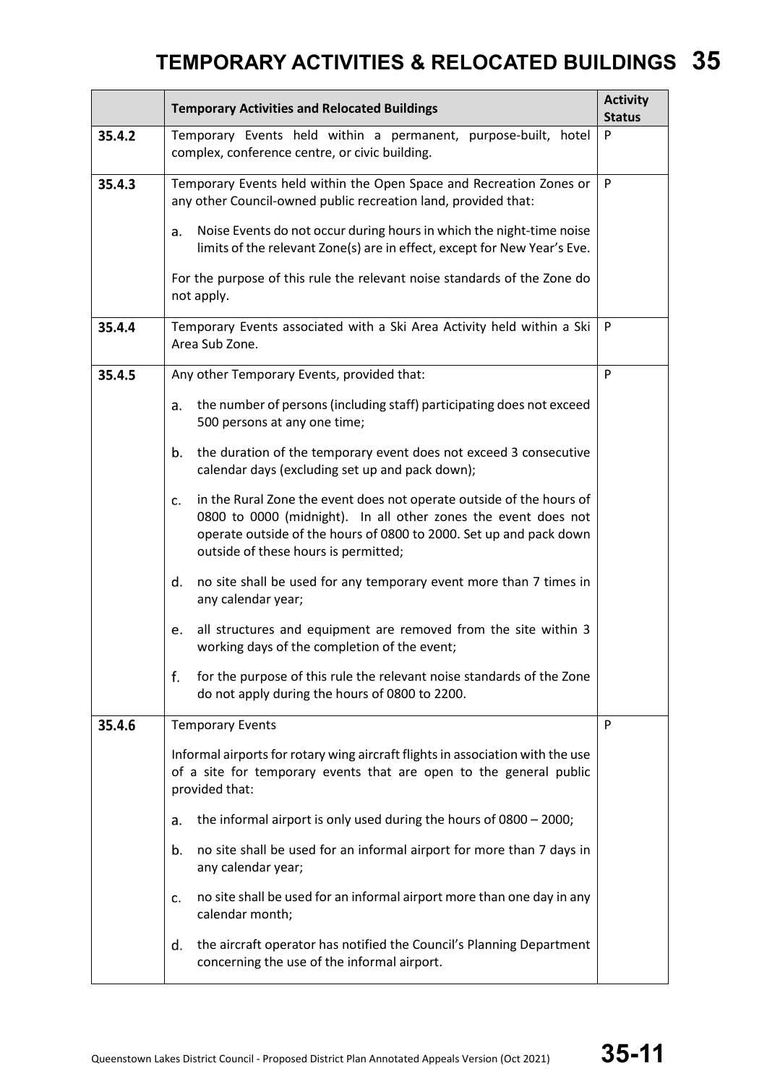|        | <b>Temporary Activities and Relocated Buildings</b>                                                                                                                                                                                                        | <b>Activity</b><br><b>Status</b> |  |  |  |  |
|--------|------------------------------------------------------------------------------------------------------------------------------------------------------------------------------------------------------------------------------------------------------------|----------------------------------|--|--|--|--|
| 35.4.2 | Temporary Events held within a permanent, purpose-built, hotel<br>complex, conference centre, or civic building.                                                                                                                                           | P                                |  |  |  |  |
| 35.4.3 | Temporary Events held within the Open Space and Recreation Zones or<br>any other Council-owned public recreation land, provided that:                                                                                                                      | P                                |  |  |  |  |
|        | Noise Events do not occur during hours in which the night-time noise<br>a.<br>limits of the relevant Zone(s) are in effect, except for New Year's Eve.                                                                                                     |                                  |  |  |  |  |
|        | For the purpose of this rule the relevant noise standards of the Zone do<br>not apply.                                                                                                                                                                     |                                  |  |  |  |  |
| 35.4.4 | Temporary Events associated with a Ski Area Activity held within a Ski<br>Area Sub Zone.                                                                                                                                                                   | P                                |  |  |  |  |
| 35.4.5 | Any other Temporary Events, provided that:                                                                                                                                                                                                                 | P                                |  |  |  |  |
|        | the number of persons (including staff) participating does not exceed<br>a.<br>500 persons at any one time;                                                                                                                                                |                                  |  |  |  |  |
|        | the duration of the temporary event does not exceed 3 consecutive<br>b.<br>calendar days (excluding set up and pack down);                                                                                                                                 |                                  |  |  |  |  |
|        | in the Rural Zone the event does not operate outside of the hours of<br>c.<br>0800 to 0000 (midnight). In all other zones the event does not<br>operate outside of the hours of 0800 to 2000. Set up and pack down<br>outside of these hours is permitted; |                                  |  |  |  |  |
|        | d.<br>no site shall be used for any temporary event more than 7 times in<br>any calendar year;                                                                                                                                                             |                                  |  |  |  |  |
|        | all structures and equipment are removed from the site within 3<br>e.<br>working days of the completion of the event;                                                                                                                                      |                                  |  |  |  |  |
|        | f.<br>for the purpose of this rule the relevant noise standards of the Zone<br>do not apply during the hours of 0800 to 2200.                                                                                                                              |                                  |  |  |  |  |
| 35.4.6 | <b>Temporary Events</b>                                                                                                                                                                                                                                    | P                                |  |  |  |  |
|        | Informal airports for rotary wing aircraft flights in association with the use<br>of a site for temporary events that are open to the general public<br>provided that:                                                                                     |                                  |  |  |  |  |
|        | the informal airport is only used during the hours of 0800 - 2000;<br>a.                                                                                                                                                                                   |                                  |  |  |  |  |
|        | no site shall be used for an informal airport for more than 7 days in<br>b.<br>any calendar year;                                                                                                                                                          |                                  |  |  |  |  |
|        | no site shall be used for an informal airport more than one day in any<br>c.<br>calendar month;                                                                                                                                                            |                                  |  |  |  |  |
|        | the aircraft operator has notified the Council's Planning Department<br>d.<br>concerning the use of the informal airport.                                                                                                                                  |                                  |  |  |  |  |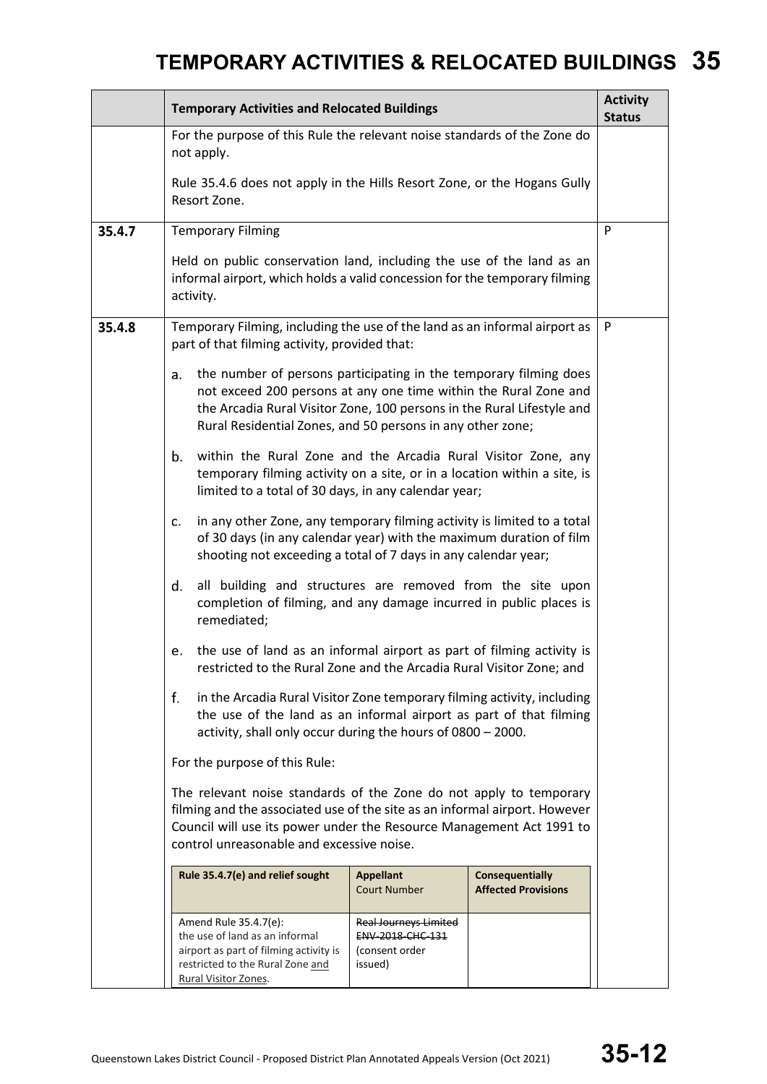|        | <b>Temporary Activities and Relocated Buildings</b>                                                                                                                                                                                                                                 |                                                                                      |                                                      |   |  |  |  |
|--------|-------------------------------------------------------------------------------------------------------------------------------------------------------------------------------------------------------------------------------------------------------------------------------------|--------------------------------------------------------------------------------------|------------------------------------------------------|---|--|--|--|
|        | For the purpose of this Rule the relevant noise standards of the Zone do<br>not apply.                                                                                                                                                                                              |                                                                                      |                                                      |   |  |  |  |
|        | Rule 35.4.6 does not apply in the Hills Resort Zone, or the Hogans Gully<br>Resort Zone.                                                                                                                                                                                            |                                                                                      |                                                      |   |  |  |  |
| 35.4.7 | <b>Temporary Filming</b>                                                                                                                                                                                                                                                            |                                                                                      |                                                      | P |  |  |  |
|        | Held on public conservation land, including the use of the land as an<br>informal airport, which holds a valid concession for the temporary filming<br>activity.                                                                                                                    |                                                                                      |                                                      |   |  |  |  |
| 35.4.8 | Temporary Filming, including the use of the land as an informal airport as<br>part of that filming activity, provided that:                                                                                                                                                         |                                                                                      |                                                      | P |  |  |  |
|        | the number of persons participating in the temporary filming does<br>a.<br>not exceed 200 persons at any one time within the Rural Zone and<br>the Arcadia Rural Visitor Zone, 100 persons in the Rural Lifestyle and<br>Rural Residential Zones, and 50 persons in any other zone; |                                                                                      |                                                      |   |  |  |  |
|        | within the Rural Zone and the Arcadia Rural Visitor Zone, any<br>b.<br>temporary filming activity on a site, or in a location within a site, is<br>limited to a total of 30 days, in any calendar year;                                                                             |                                                                                      |                                                      |   |  |  |  |
|        | in any other Zone, any temporary filming activity is limited to a total<br>c.<br>of 30 days (in any calendar year) with the maximum duration of film<br>shooting not exceeding a total of 7 days in any calendar year;                                                              |                                                                                      |                                                      |   |  |  |  |
|        | all building and structures are removed from the site upon<br>d.<br>completion of filming, and any damage incurred in public places is<br>remediated;                                                                                                                               |                                                                                      |                                                      |   |  |  |  |
|        | the use of land as an informal airport as part of filming activity is<br>e.<br>restricted to the Rural Zone and the Arcadia Rural Visitor Zone; and                                                                                                                                 |                                                                                      |                                                      |   |  |  |  |
|        | f.<br>in the Arcadia Rural Visitor Zone temporary filming activity, including<br>the use of the land as an informal airport as part of that filming<br>activity, shall only occur during the hours of 0800 - 2000.                                                                  |                                                                                      |                                                      |   |  |  |  |
|        | For the purpose of this Rule:                                                                                                                                                                                                                                                       |                                                                                      |                                                      |   |  |  |  |
|        | The relevant noise standards of the Zone do not apply to temporary<br>filming and the associated use of the site as an informal airport. However<br>Council will use its power under the Resource Management Act 1991 to<br>control unreasonable and excessive noise.               |                                                                                      |                                                      |   |  |  |  |
|        | Rule 35.4.7(e) and relief sought                                                                                                                                                                                                                                                    | <b>Appellant</b><br><b>Court Number</b>                                              | <b>Consequentially</b><br><b>Affected Provisions</b> |   |  |  |  |
|        | Amend Rule 35.4.7(e):<br>the use of land as an informal<br>airport as part of filming activity is<br>restricted to the Rural Zone and<br>Rural Visitor Zones.                                                                                                                       | <b>Real Journeys Limited</b><br><b>ENV 2018 CHC 131</b><br>(consent order<br>issued) |                                                      |   |  |  |  |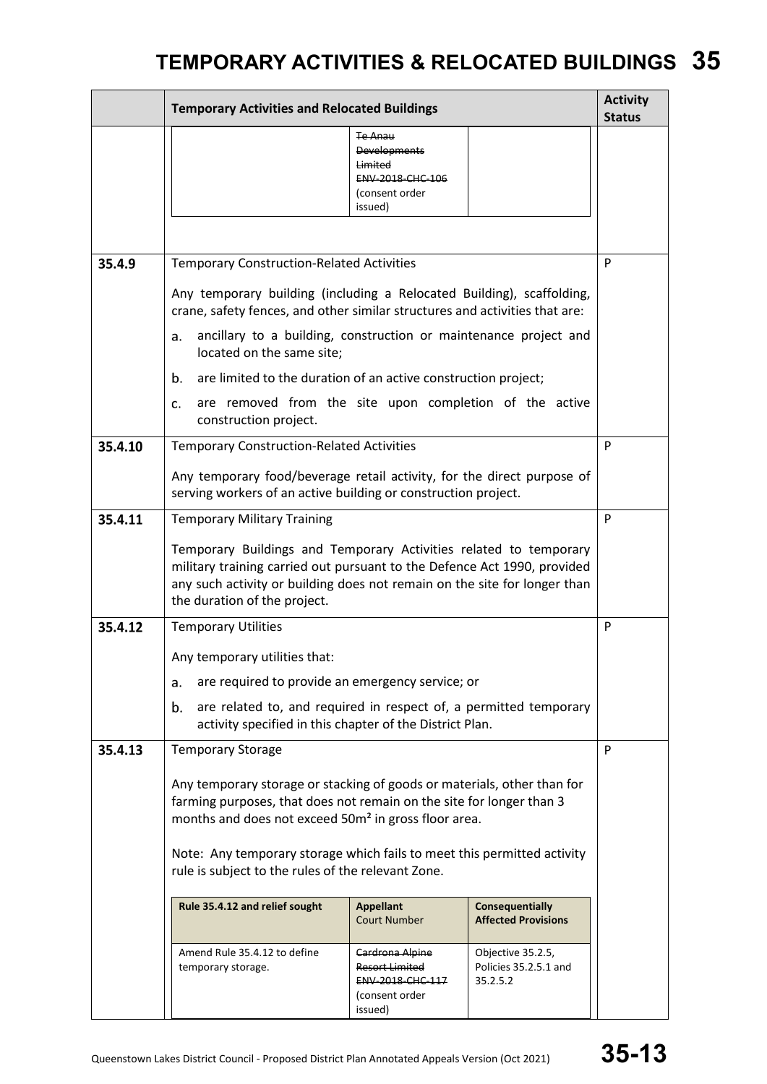|         | <b>Temporary Activities and Relocated Buildings</b>                                                                                                                                                                                                        |   |  |  |  |
|---------|------------------------------------------------------------------------------------------------------------------------------------------------------------------------------------------------------------------------------------------------------------|---|--|--|--|
|         | Te Anau<br><b>Developments</b><br>Limited<br>ENV-2018-CHC-106<br>(consent order<br>issued)                                                                                                                                                                 |   |  |  |  |
|         |                                                                                                                                                                                                                                                            |   |  |  |  |
| 35.4.9  | <b>Temporary Construction-Related Activities</b>                                                                                                                                                                                                           | P |  |  |  |
|         | Any temporary building (including a Relocated Building), scaffolding,<br>crane, safety fences, and other similar structures and activities that are:                                                                                                       |   |  |  |  |
|         | ancillary to a building, construction or maintenance project and<br>a.<br>located on the same site;                                                                                                                                                        |   |  |  |  |
|         | are limited to the duration of an active construction project;<br>b.                                                                                                                                                                                       |   |  |  |  |
|         | are removed from the site upon completion of the active<br>c.<br>construction project.                                                                                                                                                                     |   |  |  |  |
| 35.4.10 | <b>Temporary Construction-Related Activities</b>                                                                                                                                                                                                           | P |  |  |  |
|         | Any temporary food/beverage retail activity, for the direct purpose of<br>serving workers of an active building or construction project.                                                                                                                   |   |  |  |  |
| 35.4.11 | <b>Temporary Military Training</b>                                                                                                                                                                                                                         |   |  |  |  |
|         | Temporary Buildings and Temporary Activities related to temporary<br>military training carried out pursuant to the Defence Act 1990, provided<br>any such activity or building does not remain on the site for longer than<br>the duration of the project. |   |  |  |  |
| 35.4.12 | <b>Temporary Utilities</b>                                                                                                                                                                                                                                 |   |  |  |  |
|         | Any temporary utilities that:                                                                                                                                                                                                                              |   |  |  |  |
|         | are required to provide an emergency service; or<br>a.                                                                                                                                                                                                     |   |  |  |  |
|         | are related to, and required in respect of, a permitted temporary<br>b.<br>activity specified in this chapter of the District Plan.                                                                                                                        |   |  |  |  |
| 35.4.13 | <b>Temporary Storage</b>                                                                                                                                                                                                                                   |   |  |  |  |
|         | Any temporary storage or stacking of goods or materials, other than for<br>farming purposes, that does not remain on the site for longer than 3<br>months and does not exceed 50m <sup>2</sup> in gross floor area.                                        |   |  |  |  |
|         | Note: Any temporary storage which fails to meet this permitted activity<br>rule is subject to the rules of the relevant Zone.                                                                                                                              |   |  |  |  |
|         | Rule 35.4.12 and relief sought<br><b>Consequentially</b><br><b>Appellant</b><br><b>Court Number</b><br><b>Affected Provisions</b>                                                                                                                          |   |  |  |  |
|         | Amend Rule 35.4.12 to define<br>Objective 35.2.5,<br>Cardrona Alpine<br>Policies 35.2.5.1 and<br>Resort Limited<br>temporary storage.<br>ENV-2018-CHC-117<br>35.2.5.2<br>(consent order<br>issued)                                                         |   |  |  |  |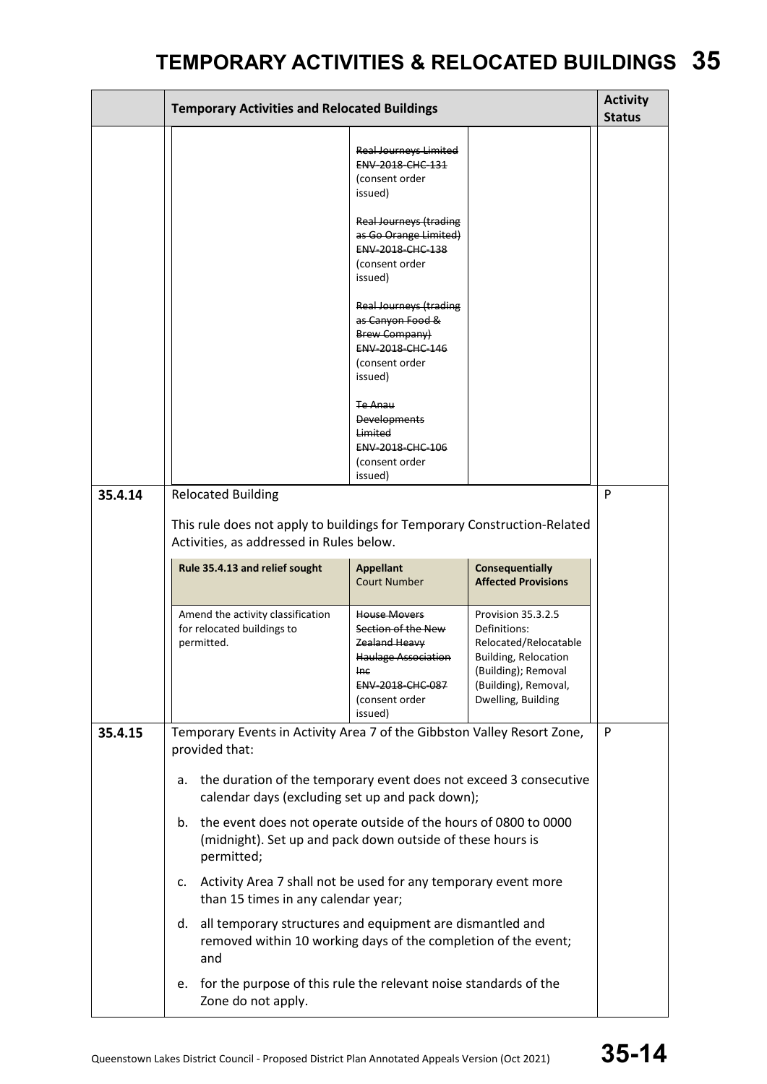|         | <b>Temporary Activities and Relocated Buildings</b>                                                                                               |                                                                                                                                                  |                                                                                                                                                                 | <b>Activity</b><br><b>Status</b> |  |
|---------|---------------------------------------------------------------------------------------------------------------------------------------------------|--------------------------------------------------------------------------------------------------------------------------------------------------|-----------------------------------------------------------------------------------------------------------------------------------------------------------------|----------------------------------|--|
|         |                                                                                                                                                   | <b>Real Journeys Limited</b><br>ENV-2018-CHC-131<br>(consent order<br>issued)                                                                    |                                                                                                                                                                 |                                  |  |
|         |                                                                                                                                                   | <b>Real Journeys (trading</b><br>as Go Orange Limited)<br>ENV-2018-CHC-138<br>(consent order<br>issued)                                          |                                                                                                                                                                 |                                  |  |
|         |                                                                                                                                                   | <b>Real Journeys (trading</b><br>as Canyon Food &<br>Brew Company)<br>ENV-2018-CHC-146<br>(consent order<br>issued)                              |                                                                                                                                                                 |                                  |  |
|         |                                                                                                                                                   | <del>Te Anau</del><br><b>Developments</b><br>Limited<br>ENV-2018-CHC-106<br>(consent order<br>issued)                                            |                                                                                                                                                                 |                                  |  |
| 35.4.14 | <b>Relocated Building</b>                                                                                                                         |                                                                                                                                                  |                                                                                                                                                                 |                                  |  |
|         | This rule does not apply to buildings for Temporary Construction-Related<br>Activities, as addressed in Rules below.                              |                                                                                                                                                  |                                                                                                                                                                 |                                  |  |
|         | <b>Consequentially</b><br>Rule 35.4.13 and relief sought<br><b>Appellant</b><br><b>Court Number</b><br><b>Affected Provisions</b>                 |                                                                                                                                                  |                                                                                                                                                                 |                                  |  |
|         | Amend the activity classification<br>for relocated buildings to<br>permitted.                                                                     | <b>House Movers</b><br>Section of the New<br>Zealand Heavy<br><b>Haulage Association</b><br>Ine<br>ENV-2018-CHC-087<br>(consent order<br>issued) | Provision 35.3.2.5<br>Definitions:<br>Relocated/Relocatable<br><b>Building, Relocation</b><br>(Building); Removal<br>(Building), Removal,<br>Dwelling, Building |                                  |  |
| 35.4.15 | Temporary Events in Activity Area 7 of the Gibbston Valley Resort Zone,<br>provided that:                                                         |                                                                                                                                                  |                                                                                                                                                                 | P                                |  |
|         | the duration of the temporary event does not exceed 3 consecutive<br>а.<br>calendar days (excluding set up and pack down);                        |                                                                                                                                                  |                                                                                                                                                                 |                                  |  |
|         | the event does not operate outside of the hours of 0800 to 0000<br>b.<br>(midnight). Set up and pack down outside of these hours is<br>permitted; |                                                                                                                                                  |                                                                                                                                                                 |                                  |  |
|         | Activity Area 7 shall not be used for any temporary event more<br>c.<br>than 15 times in any calendar year;                                       |                                                                                                                                                  |                                                                                                                                                                 |                                  |  |
|         | all temporary structures and equipment are dismantled and<br>d.<br>removed within 10 working days of the completion of the event;<br>and          |                                                                                                                                                  |                                                                                                                                                                 |                                  |  |
|         | for the purpose of this rule the relevant noise standards of the<br>е.<br>Zone do not apply.                                                      |                                                                                                                                                  |                                                                                                                                                                 |                                  |  |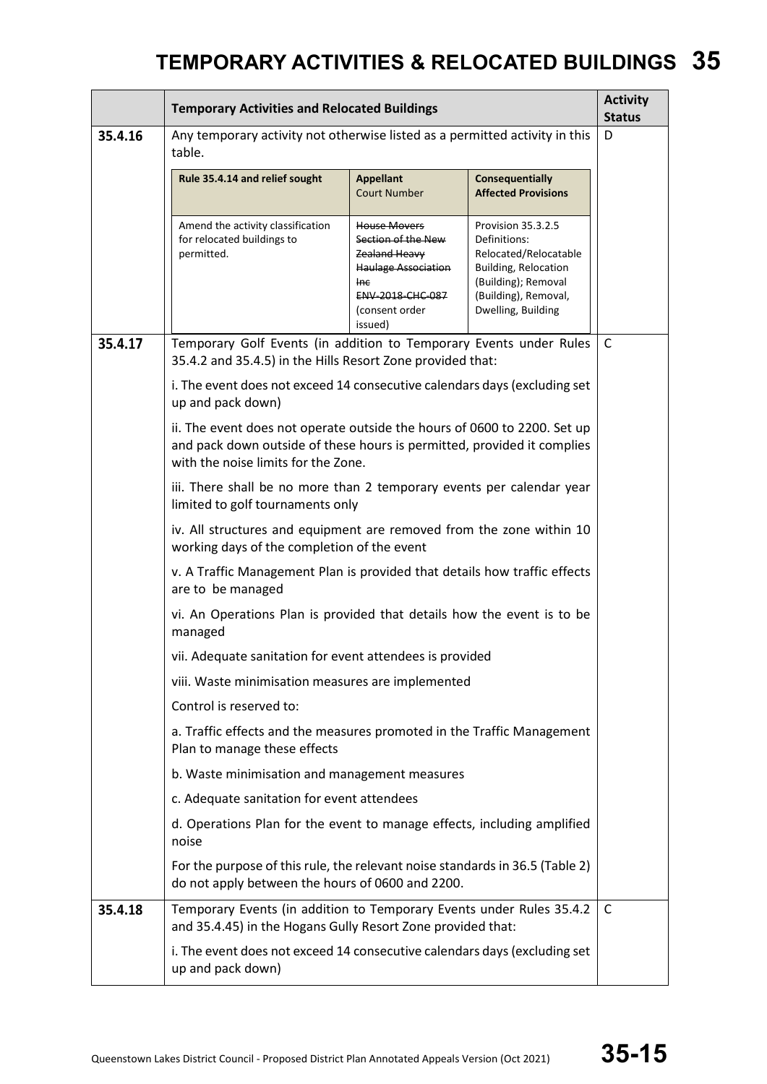|         | <b>Temporary Activities and Relocated Buildings</b>                                                                                                                                        |                                                                                                                                           |                                                                                                                                                                 |              |  |
|---------|--------------------------------------------------------------------------------------------------------------------------------------------------------------------------------------------|-------------------------------------------------------------------------------------------------------------------------------------------|-----------------------------------------------------------------------------------------------------------------------------------------------------------------|--------------|--|
| 35.4.16 | Any temporary activity not otherwise listed as a permitted activity in this<br>table.                                                                                                      |                                                                                                                                           |                                                                                                                                                                 | D            |  |
|         | Rule 35.4.14 and relief sought                                                                                                                                                             | <b>Appellant</b><br><b>Court Number</b>                                                                                                   | <b>Consequentially</b><br><b>Affected Provisions</b>                                                                                                            |              |  |
|         | Amend the activity classification<br>for relocated buildings to<br>permitted.                                                                                                              | House Movers<br>Section of the New<br>Zealand Heavy<br><b>Haulage Association</b><br>Ine<br>ENV-2018-CHC-087<br>(consent order<br>issued) | Provision 35.3.2.5<br>Definitions:<br>Relocated/Relocatable<br><b>Building, Relocation</b><br>(Building); Removal<br>(Building), Removal,<br>Dwelling, Building |              |  |
| 35.4.17 | Temporary Golf Events (in addition to Temporary Events under Rules<br>35.4.2 and 35.4.5) in the Hills Resort Zone provided that:                                                           |                                                                                                                                           |                                                                                                                                                                 | $\mathsf{C}$ |  |
|         | i. The event does not exceed 14 consecutive calendars days (excluding set<br>up and pack down)                                                                                             |                                                                                                                                           |                                                                                                                                                                 |              |  |
|         | ii. The event does not operate outside the hours of 0600 to 2200. Set up<br>and pack down outside of these hours is permitted, provided it complies<br>with the noise limits for the Zone. |                                                                                                                                           |                                                                                                                                                                 |              |  |
|         | iii. There shall be no more than 2 temporary events per calendar year<br>limited to golf tournaments only                                                                                  |                                                                                                                                           |                                                                                                                                                                 |              |  |
|         | iv. All structures and equipment are removed from the zone within 10<br>working days of the completion of the event                                                                        |                                                                                                                                           |                                                                                                                                                                 |              |  |
|         | v. A Traffic Management Plan is provided that details how traffic effects<br>are to be managed                                                                                             |                                                                                                                                           |                                                                                                                                                                 |              |  |
|         | vi. An Operations Plan is provided that details how the event is to be<br>managed                                                                                                          |                                                                                                                                           |                                                                                                                                                                 |              |  |
|         | vii. Adequate sanitation for event attendees is provided                                                                                                                                   |                                                                                                                                           |                                                                                                                                                                 |              |  |
|         | viii. Waste minimisation measures are implemented                                                                                                                                          |                                                                                                                                           |                                                                                                                                                                 |              |  |
|         | Control is reserved to:                                                                                                                                                                    |                                                                                                                                           |                                                                                                                                                                 |              |  |
|         | a. Traffic effects and the measures promoted in the Traffic Management<br>Plan to manage these effects                                                                                     |                                                                                                                                           |                                                                                                                                                                 |              |  |
|         | b. Waste minimisation and management measures                                                                                                                                              |                                                                                                                                           |                                                                                                                                                                 |              |  |
|         | c. Adequate sanitation for event attendees                                                                                                                                                 |                                                                                                                                           |                                                                                                                                                                 |              |  |
|         | d. Operations Plan for the event to manage effects, including amplified<br>noise                                                                                                           |                                                                                                                                           |                                                                                                                                                                 |              |  |
|         | For the purpose of this rule, the relevant noise standards in 36.5 (Table 2)<br>do not apply between the hours of 0600 and 2200.                                                           |                                                                                                                                           |                                                                                                                                                                 |              |  |
| 35.4.18 | Temporary Events (in addition to Temporary Events under Rules 35.4.2<br>and 35.4.45) in the Hogans Gully Resort Zone provided that:                                                        |                                                                                                                                           |                                                                                                                                                                 | C            |  |
|         | i. The event does not exceed 14 consecutive calendars days (excluding set<br>up and pack down)                                                                                             |                                                                                                                                           |                                                                                                                                                                 |              |  |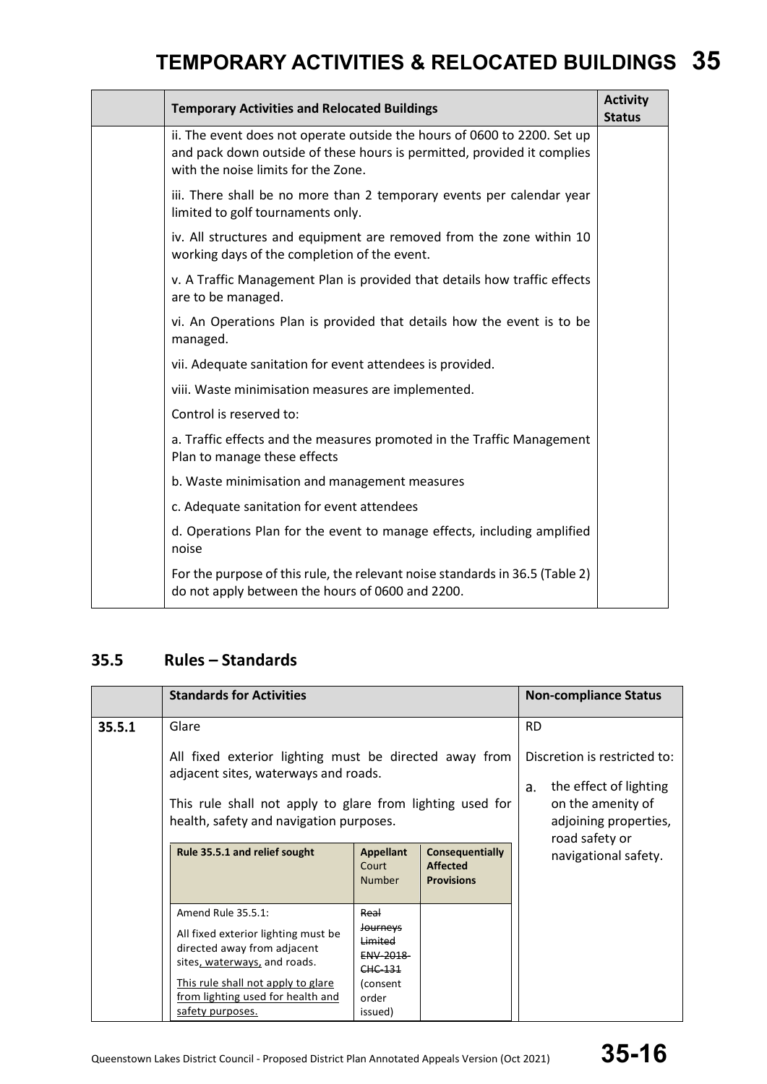| <b>Temporary Activities and Relocated Buildings</b>                                                                                                                                        | <b>Activity</b><br><b>Status</b> |
|--------------------------------------------------------------------------------------------------------------------------------------------------------------------------------------------|----------------------------------|
| ii. The event does not operate outside the hours of 0600 to 2200. Set up<br>and pack down outside of these hours is permitted, provided it complies<br>with the noise limits for the Zone. |                                  |
| iii. There shall be no more than 2 temporary events per calendar year<br>limited to golf tournaments only.                                                                                 |                                  |
| iv. All structures and equipment are removed from the zone within 10<br>working days of the completion of the event.                                                                       |                                  |
| v. A Traffic Management Plan is provided that details how traffic effects<br>are to be managed.                                                                                            |                                  |
| vi. An Operations Plan is provided that details how the event is to be<br>managed.                                                                                                         |                                  |
| vii. Adequate sanitation for event attendees is provided.                                                                                                                                  |                                  |
| viii. Waste minimisation measures are implemented.                                                                                                                                         |                                  |
| Control is reserved to:                                                                                                                                                                    |                                  |
| a. Traffic effects and the measures promoted in the Traffic Management<br>Plan to manage these effects                                                                                     |                                  |
| b. Waste minimisation and management measures                                                                                                                                              |                                  |
| c. Adequate sanitation for event attendees                                                                                                                                                 |                                  |
| d. Operations Plan for the event to manage effects, including amplified<br>noise                                                                                                           |                                  |
| For the purpose of this rule, the relevant noise standards in 36.5 (Table 2)<br>do not apply between the hours of 0600 and 2200.                                                           |                                  |

### **35.5 Rules – Standards**

|        | <b>Standards for Activities</b>                                                                                                                                                        |                                                                                                |                                                                | <b>Non-compliance Status</b>                                 |  |
|--------|----------------------------------------------------------------------------------------------------------------------------------------------------------------------------------------|------------------------------------------------------------------------------------------------|----------------------------------------------------------------|--------------------------------------------------------------|--|
| 35.5.1 | Glare                                                                                                                                                                                  | All fixed exterior lighting must be directed away from<br>adjacent sites, waterways and roads. |                                                                |                                                              |  |
|        | This rule shall not apply to glare from lighting used for<br>health, safety and navigation purposes.                                                                                   |                                                                                                |                                                                | on the amenity of<br>adjoining properties,<br>road safety or |  |
|        | Rule 35.5.1 and relief sought                                                                                                                                                          | <b>Appellant</b><br>Court<br><b>Number</b>                                                     | <b>Consequentially</b><br><b>Affected</b><br><b>Provisions</b> | navigational safety.                                         |  |
|        | Amend Rule 35.5.1:<br>Real<br><b>Journeys</b><br>All fixed exterior lighting must be<br>Limited<br>directed away from adjacent<br>ENV-2018-<br>sites, waterways, and roads.<br>CHC-131 |                                                                                                |                                                                |                                                              |  |
|        | This rule shall not apply to glare<br>from lighting used for health and<br>safety purposes.                                                                                            | (consent<br>order<br>issued)                                                                   |                                                                |                                                              |  |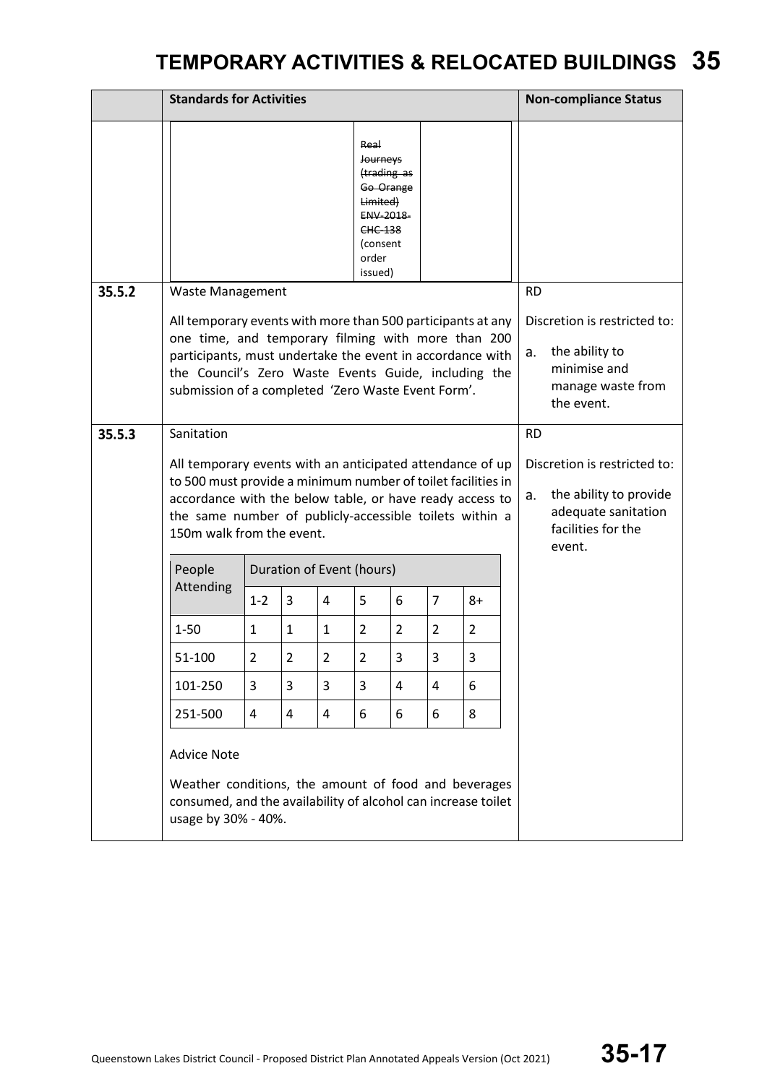|        | <b>Standards for Activities</b>                                                                                                                                                                                                                                                                                                    |                                                                                                                                                                                                                                                                                              |                |                |                                                                                                                                |                |                |                |                 | <b>Non-compliance Status</b>                                                                      |                                                                                                               |
|--------|------------------------------------------------------------------------------------------------------------------------------------------------------------------------------------------------------------------------------------------------------------------------------------------------------------------------------------|----------------------------------------------------------------------------------------------------------------------------------------------------------------------------------------------------------------------------------------------------------------------------------------------|----------------|----------------|--------------------------------------------------------------------------------------------------------------------------------|----------------|----------------|----------------|-----------------|---------------------------------------------------------------------------------------------------|---------------------------------------------------------------------------------------------------------------|
|        |                                                                                                                                                                                                                                                                                                                                    |                                                                                                                                                                                                                                                                                              |                |                | Real<br><b>Journeys</b><br>(trading as<br>Go Orange<br>Limited)<br>ENV-2018-<br><b>CHC-138</b><br>(consent<br>order<br>issued) |                |                |                |                 |                                                                                                   |                                                                                                               |
| 35.5.2 | <b>Waste Management</b>                                                                                                                                                                                                                                                                                                            | All temporary events with more than 500 participants at any<br>one time, and temporary filming with more than 200<br>participants, must undertake the event in accordance with<br>the Council's Zero Waste Events Guide, including the<br>submission of a completed 'Zero Waste Event Form'. |                |                |                                                                                                                                |                |                |                | <b>RD</b><br>a. | Discretion is restricted to:<br>the ability to<br>minimise and<br>manage waste from<br>the event. |                                                                                                               |
| 35.5.3 | Sanitation<br>All temporary events with an anticipated attendance of up<br>to 500 must provide a minimum number of toilet facilities in<br>accordance with the below table, or have ready access to<br>the same number of publicly-accessible toilets within a<br>150m walk from the event.<br>People<br>Duration of Event (hours) |                                                                                                                                                                                                                                                                                              |                |                |                                                                                                                                |                |                |                |                 |                                                                                                   | Discretion is restricted to:<br>the ability to provide<br>adequate sanitation<br>facilities for the<br>event. |
|        | Attending                                                                                                                                                                                                                                                                                                                          | $1 - 2$                                                                                                                                                                                                                                                                                      | 3              | 4              | 5                                                                                                                              | 6              | $\overline{7}$ | 8+             |                 |                                                                                                   |                                                                                                               |
|        | $1 - 50$                                                                                                                                                                                                                                                                                                                           | $\mathbf{1}$                                                                                                                                                                                                                                                                                 | $\mathbf{1}$   | 1              | $\overline{2}$                                                                                                                 | $\overline{2}$ | $\overline{2}$ | $\overline{2}$ |                 |                                                                                                   |                                                                                                               |
|        | 51-100                                                                                                                                                                                                                                                                                                                             | $\overline{2}$                                                                                                                                                                                                                                                                               | $\overline{2}$ | $\overline{2}$ | $\overline{2}$                                                                                                                 | 3              | $\overline{3}$ | 3              |                 |                                                                                                   |                                                                                                               |
|        | 101-250                                                                                                                                                                                                                                                                                                                            | 3                                                                                                                                                                                                                                                                                            | 3              | 3              | 3                                                                                                                              | 4              | 4              | 6              |                 |                                                                                                   |                                                                                                               |
|        | 251-500                                                                                                                                                                                                                                                                                                                            | $\overline{4}$                                                                                                                                                                                                                                                                               | 4              | 4              | 6                                                                                                                              | 6              | 6              | 8              |                 |                                                                                                   |                                                                                                               |
|        | <b>Advice Note</b><br>Weather conditions, the amount of food and beverages<br>consumed, and the availability of alcohol can increase toilet<br>usage by 30% - 40%.                                                                                                                                                                 |                                                                                                                                                                                                                                                                                              |                |                |                                                                                                                                |                |                |                |                 |                                                                                                   |                                                                                                               |